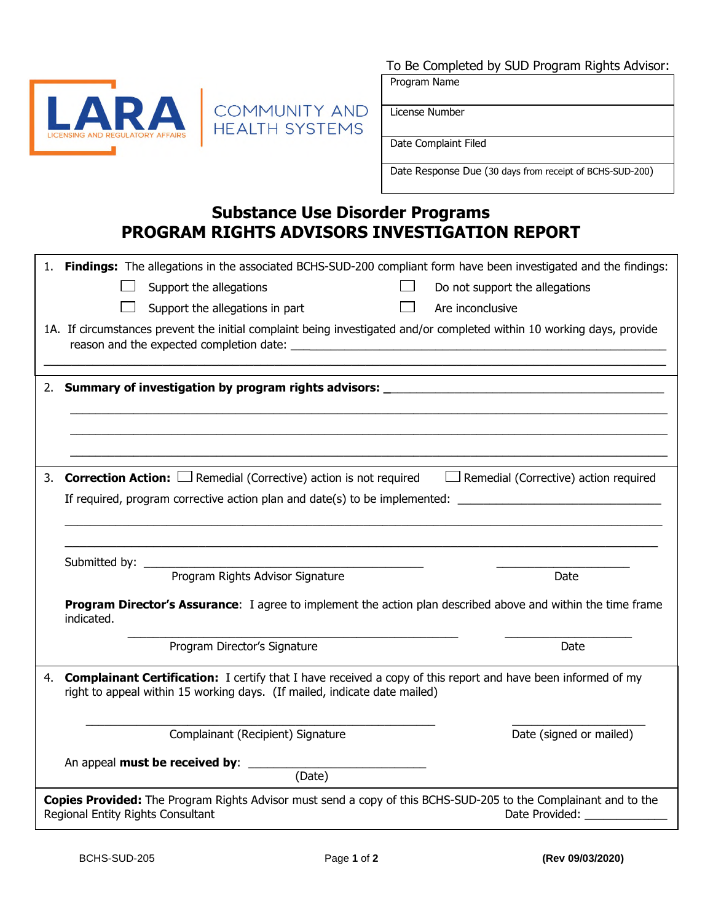

# COMMUNITY AND

Program Name

License Number

Date Complaint Filed

Date Response Due (30 days from receipt of BCHS-SUD-200)

## **Substance Use Disorder Programs PROGRAM RIGHTS ADVISORS INVESTIGATION REPORT**

|                                                                                                                                                                        | 1. Findings: The allegations in the associated BCHS-SUD-200 compliant form have been investigated and the findings:                                                                              |
|------------------------------------------------------------------------------------------------------------------------------------------------------------------------|--------------------------------------------------------------------------------------------------------------------------------------------------------------------------------------------------|
|                                                                                                                                                                        | Do not support the allegations<br>Support the allegations                                                                                                                                        |
|                                                                                                                                                                        | Support the allegations in part<br>Are inconclusive                                                                                                                                              |
|                                                                                                                                                                        | 1A. If circumstances prevent the initial complaint being investigated and/or completed within 10 working days, provide                                                                           |
|                                                                                                                                                                        |                                                                                                                                                                                                  |
|                                                                                                                                                                        |                                                                                                                                                                                                  |
|                                                                                                                                                                        |                                                                                                                                                                                                  |
|                                                                                                                                                                        |                                                                                                                                                                                                  |
| 3.                                                                                                                                                                     | <b>Correction Action:</b> $\Box$ Remedial (Corrective) action is not required $\Box$ Remedial (Corrective) action required                                                                       |
|                                                                                                                                                                        | If required, program corrective action plan and date(s) to be implemented: ___________________________________                                                                                   |
|                                                                                                                                                                        |                                                                                                                                                                                                  |
|                                                                                                                                                                        |                                                                                                                                                                                                  |
|                                                                                                                                                                        |                                                                                                                                                                                                  |
|                                                                                                                                                                        | Date                                                                                                                                                                                             |
|                                                                                                                                                                        | <b>Program Director's Assurance:</b> I agree to implement the action plan described above and within the time frame<br>indicated.                                                                |
|                                                                                                                                                                        | Program Director's Signature<br>Date                                                                                                                                                             |
| 4.                                                                                                                                                                     | <b>Complainant Certification:</b> I certify that I have received a copy of this report and have been informed of my<br>right to appeal within 15 working days. (If mailed, indicate date mailed) |
|                                                                                                                                                                        | Date (signed or mailed)<br>Complainant (Recipient) Signature                                                                                                                                     |
|                                                                                                                                                                        | (Date)                                                                                                                                                                                           |
| Copies Provided: The Program Rights Advisor must send a copy of this BCHS-SUD-205 to the Complainant and to the<br>Regional Entity Rights Consultant<br>Date Provided: |                                                                                                                                                                                                  |